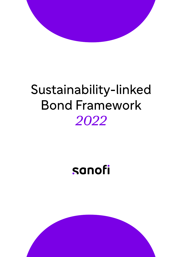

# Sustainability-linked **Bond Framework** 2022

# sanofi

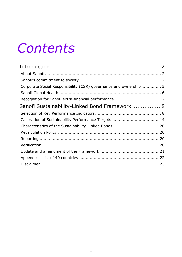# *Contents*

| Corporate Social Responsibility (CSR) governance and ownership 5 |  |
|------------------------------------------------------------------|--|
|                                                                  |  |
|                                                                  |  |
| Sanofi Sustainability-Linked Bond Framework 8                    |  |
|                                                                  |  |
| Calibration of Sustainability Performance Targets 14             |  |
| Characteristics of the Sustainability-Linked Bonds20             |  |
|                                                                  |  |
|                                                                  |  |
|                                                                  |  |
|                                                                  |  |
|                                                                  |  |
|                                                                  |  |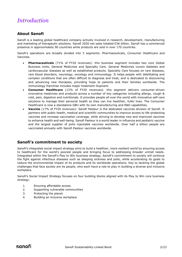# <span id="page-2-0"></span>*Introduction*

# <span id="page-2-1"></span>**About Sanofi**

Sanofi is a leading global healthcare company actively involved in research, development, manufacturing and marketing of therapeutic solutions. Sanofi 2020 net sales totalled €36 billion. Sanofi has a commercial presence in approximately 90 countries while products are sold in over 170 countries.

Sanofi's operations are broadly divided into 3 segments: Pharmaceuticals, Consumer Healthcare and Vaccines.

- **Pharmaceuticals** (71% of FY20 revenues): this business segment includes two core Global Business Units, General Medicines and Specialty Care. General Medicines covers diabetes and cardiovascular diseases as well as established products. Specialty Care focuses on rare diseases, rare blood disorders, neurology, oncology and immunology. It helps people with debilitating and complex conditions that are often difficult to diagnose and treat, and is dedicated to discovering and advancing new therapies, providing hope to patients and their families worldwide. The immunology franchise includes major treatment Dupixent.
- **Consumer Healthcare** (12% of FY20 revenues): this segment delivers consumer-driven innovative medicines and products across a number of key categories including allergy, cough & cold, pain, digestive and nutritionals. It provides people all over the world with innovative self-care solutions to manage their personal health so they can live healthier, fuller lives. The Consumer Healthcare is now a standalone GBU with its own manufacturing and R&D capabilities.
- **Vaccine** (17% of FY20 revenues): Sanofi Pasteur is the dedicated vaccines division of Sanofi. It partners with public health, medical and scientific communities to improve access to life-protecting vaccines and increase vaccination coverage, while striving to develop new and improved vaccines to enhance health and well-being. Sanofi Pasteur is a world leader in influenza and pediatric vaccine and the largest supplier of polio injectable vaccines worldwide. Over half a billion people are vaccinated annually with Sanofi Pasteur vaccines worldwide.

## <span id="page-2-2"></span>**Sanofi's commitment to society**

Sanofi's integrated social impact strategy aims to build a healthier, more resilient world by ensuring access to healthcare for the world's poorest people and bringing focus to addressing broader unmet needs. Integrated within the Sanofi's Play to Win business strategy, Sanofi's commitment to society will continue the fight against infectious diseases such as sleeping sickness and polio, while accelerating its goals to reduce the environmental impact of its products and its worldwide operations. Key to tackling the global challenges that face society are its people, who each have a role to play in building a diverse and inclusive workplace.

Sanofi's Social Impact Strategy focuses on four building blocks aligned with its Play to Win core business strategy:

- 1. Ensuring affordable access
- 2. Supporting vulnerable communities
- 3. Protecting the planet
- 4. Building an inclusive workplace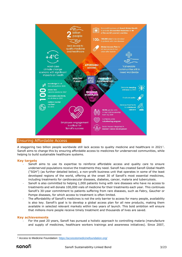

### Ensuring Affordable Access

A staggering two billion people worldwide still lack access to quality medicine and healthcare in 2021<sup>1</sup>. Sanofi aims to change this by ensuring affordable access to medicines for underserved communities, while helping to build sustainable healthcare systems.

#### **Key targets**

- Sanofi aims to use its expertise to reinforce affordable access and quality care to ensure underserved populations receive the treatments they need. Sanofi has created Sanofi Global Health ("SGH") (as further detailed below), a non-profit business unit that operates in some of the least developed regions of the world, offering at the onset 30 of Sanofi's most essential medicines, including treatments for cardiovascular diseases, diabetes, cancer, malaria and tuberculosis.
- Sanofi is also committed to helping 1,000 patients living with rare diseases who have no access to treatments and will donate 100,000 vials of medicine for their treatments each year. This continues Sanofi's 30-year commitment to patients suffering from rare diseases, such as Fabry, Gaucher or Pompe diseases, for which access to treatment is often limited.
- The affordability of Sanofi's medicines is not the only barrier to access for many people, availability is also key. Sanofi's goal is to develop a global access plan for all new products, making them available in selected relevant markets within two years of launch. This bold ambition will ensure that millions more people receive timely treatment and thousands of lives are saved.

#### **Key achievements**

For the past 20 years, Sanofi has pursued a holistic approach to controlling malaria (manufacture and supply of medicines, healthcare workers trainings and awareness initiatives). Since 2007,

<sup>1</sup> Access to Medicine Foundation:<https://accesstomedicinefoundation.org/>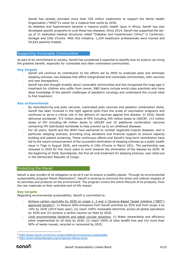Sanofi has already provided more than 530 million treatments to support the World Health Organization ("WHO")'s vision for a malaria-free world by 2030.

As diabetes and hypertension became a massive public health issue in Africa, Sanofi has also developed specific programs to curb these two diseases. Since 2014, Sanofi has supported the setup of 31 dedicated medical structures called "Diabetes and Hypertension Clinics" in Cameroon, Senegal and Côte d'Ivoire. With this initiative, 1,234 healthcare professionals were trained and 54,643 patients treated.

#### Supporting Vulnerable Communities

As part of its commitment to society, Sanofi has considered it essential to identify how its science can bring the greatest benefit, especially for vulnerable and often overlooked communities.

#### **Key targets**

- Sanofi will continue its contribution to the efforts led by WHO to eradicate polio and eliminate sleeping sickness, two diseases that afflict marginalized and vulnerable communities, with vaccines and new therapeutics.
- Sanofi has also thought broadly about vulnerable communities and has recognized the huge gap in treatment for children who suffer from cancer. R&D teams include world-class scientists who have deep knowledge of the specific challenges of paediatric oncology and understand the crucial need to find treatment.

#### **Key achievements**

- By manufacturing oral polio vaccines, inactivated polio vaccines and pediatric combination shots, Sanofi has been involved in the fight against polio from the onset of vaccination programs and continues to serve a critical role in the delivery of vaccines against this disease. In 2020, Sanofi delivered worldwide: 372 million doses of OPV including 345 million doses to UNICEF, 115 million doses of IPV including 66 million doses to UNICEF and 10 additional combination vaccines containing IPV distributed worldwide to help prevent up to six childhood diseases.
- For 20 years, Sanofi and the WHO have partnered to combat neglected tropical diseases, and in particular sleeping sickness, providing drug donations and financial support to ensure capacity building and patient screening. These continuous efforts and Sanofi's long-term contribution have led to the recent announcement of the successful elimination of sleeping sickness as a public health issue in Togo in August 2020, and recently in Côte d'Ivoire in March 2021. The partnership was renewed in 2020 for five more years to work towards the elimination of the disease by 2030. At the beginning of 2020, fexinidazole, the first all-oral treatment for sleeping sickness, was rolled out in the Democratic Republic of Congo.

#### Protecting the Planet

Sanofi is also mindful of its obligation to do all it can to ensure a healthy planet. Through its environmental sustainability program Planet Mobilization<sup>2</sup>, Sanofi is working to minimize the direct and indirect impacts of its activities and products on the environment. The program covers the entire lifecycle of its products, from the raw materials to their potential end-of-life impact.

#### **Key targets**

Regarding environmental sustainability, Sanofi is committed to:

- Achieve carbon neutrality by 2030 on scope 1, 2 and 3 (Science Based Target initiative ("SBTi") approved targets<sup>3</sup>): (i) Reduce GHG emissions from Sanofi activities by 55% and from scope 3 by 14% by 2030 (2019 base year), (ii) reach 100% renewable electricity across all global operations by 2030 and (iii) achieve a carbon neutral car fleet by 2030.
- Limit environmental footprint and adopt circular solutions: (i) Water stewardship and efficiency plans implemented on all sites by 2030, (ii) reach 100% of sites landfill free and (iii) more than 90% of waste reused, recycled or recovered by 2025.

<sup>2</sup> <https://www.sanofi.com/en/our-responsibility/environmental-sustainability>

<sup>3</sup> <https://sciencebasedtargets.org/companies-taking-action>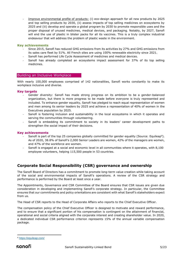- Improve environmental profile of products: (i) eco-design approach for all new products by 2025 and top selling products by 2030, (ii) assess impacts of top selling medicines on ecosystems by 2025 and (iii) develop and operate a global program by 2030 to promote responsible uses and the proper disposal of unused medicines, medical devices, and packaging. Notably, by 2027, Sanofi will end the use of plastic in blister packs for all its vaccines. This is a truly complex industrial endeavour that will address the problem of plastic waste in the environment.

#### **Key achievements**

- Since 2015, Sanofi has reduced GHG emissions from its activities by 27% and GHG emissions from its sales care fleet by 51%. All French sites are using 100% renewable electricity since 2021.
- Sanofi has performed Life Cycle Assessment of medicines and medical devices.
- Sanofi has already completed an ecosystems impact assessment for 37% of its top selling medicines.

#### Building an Inclusive Workplace

With nearly 100,000 employees comprised of 142 nationalities, Sanofi works constantly to make its workplace inclusive and diverse.

#### **Key targets**

- Gender diversity: Sanofi has made strong progress on its ambition to be a gender-balanced organization, but there is more progress to be made before everyone is truly represented and included. To enhance gender equality, Sanofi has pledged to reach equal representation of women and men among its senior leaders by 2025 and achieve a representation of 40% of women in the Executives population by 2025.
- Sanofi is fostering inclusion and sustainability in the local ecosystems in which it operates and serving the communities through volunteering.
- Sanofi is embedding its commitment to society in its leaders' career development paths to strengthen the social impact of their decisions.

#### **Key achievements**

- Sanofi is part of the top 25 companies globally committed for gender equality (Source: Equileap<sup>4</sup>). As of 2020, 38.8% of Sanofi's 2,000 Senior Leaders are women, 42% of the managers are women, and 47% of the workforce are women.
- Sanofi is engaged at a social and economic level in all communities where it operates, with 8,100 employee volunteers, helping 115,500 people in 53 countries.

# <span id="page-5-0"></span>**Corporate Social Responsibility (CSR) governance and ownership**

The Sanofi Board of Directors has a commitment to promote long-term value creation while taking account of the social and environmental impacts of Sanofi's operations. A review of the CSR strategy and performance is performed by the Board at least once a year.

The Appointments, Governance and CSR Committee of the Board ensures that CSR issues are given due consideration in developing and implementing Sanofi's corporate strategy. In particular, the Committee ensures that our commitments and policy orientations are consistent with what Sanofi's stakeholders expect from us.

The Head of CSR reports to the Head of Corporate Affairs who reports to the Chief Executive Officer.

The compensation policy of the Chief Executive Officer is designed to motivate and reward performance, and to ensure that a significant portion of his compensation is contingent on the attainment of financial, operational and social criteria aligned with the corporate interest and creating shareholder value. In 2020, a dedicated individual CSR performance criterion represents 15% of the annual variable compensation package.

<sup>4</sup> <https://equileap.com/>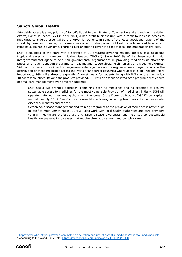# <span id="page-6-0"></span>**Sanofi Global Health**

Affordable access is a key priority of Sanofi's Social Impact Strategy. To organize and expand on its existing efforts, Sanofi launched SGH in April 2021, a non-profit business unit with a remit to increase access to medicines considered essential by the WHO<sup>5</sup> for patients in some of the least developed regions of the world, by donation or selling of its medicines at affordable prices. SGH will be self-financed to ensure it remains sustainable over time, charging just enough to cover the cost of local implementation projects.

SGH is equipped at the start with a portfolio of 30 products covering malaria, tuberculosis, neglected tropical diseases and non-communicable diseases ("NCDs"). Since 2007 Sanofi has been working with intergovernmental agencies and non-governmental organizations in providing medicines at affordable prices or through donation programs to treat malaria, tuberculosis, leishmaniasis and sleeping sickness. SGH will continue to work with intergovernmental agencies and non-governmental organizations in the distribution of those medicines across the world's 40 poorest countries where access is still needed. More importantly, SGH will address the growth of unmet needs for patients living with NCDs across the world's 40 poorest countries. Beyond the products provided, SGH will also focus on integrated programs that ensure optimal care management over time for patients:

- SGH has a two-pronged approach, combining both its medicines and its expertise to achieve sustainable access to medicines for the most vulnerable Provision of medicines: initially, SGH will operate in 40 countries among those with the lowest Gross Domestic Product ("GDP") per capita<sup>6</sup>, and will supply 30 of Sanofi's most essential medicines, including treatments for cardiovascular diseases, diabetes and cancer.
- Screening, disease management and training programs: as the provision of medicines is not enough in itself to meet unmet needs, SGH will also work with local health authorities and care providers to train healthcare professionals and raise disease awareness and help set up sustainable healthcare systems for diseases that require chronic treatment and complex care.

<sup>5</sup> <https://www.who.int/groups/expert-committee-on-selection-and-use-of-essential-medicines/essential-medicines-lists>

<sup>6</sup> According to the World Bank Data: <https://data.worldbank.org/indicator/NY.GDP.PCAP.CD>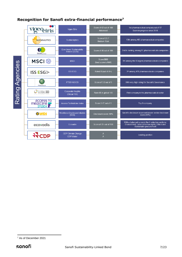# <span id="page-7-0"></span>**Recognition for Sanofi extra-financial performance<sup>7</sup>**

|                 | Toeq iris                                        | <b>Vigeo Eiris</b>                         | Score of 62 out of 100<br>Advanced | 1st pharmaceutical company out of 57<br>Score in progress since 2018                                                           |
|-----------------|--------------------------------------------------|--------------------------------------------|------------------------------------|--------------------------------------------------------------------------------------------------------------------------------|
|                 | <b>SUSTAINALYTICS</b>                            | Sustainalytics                             | Score of 23.7<br>Medium Risk       | 13th among 483 pharmaceutical companies                                                                                        |
|                 | Dow Jones<br>Sustainability Indexes              | Dow Jones Sustainability<br>Indices (DJSI) | Score of 86 out of 100             | 2nd in ranking among 91 pharmaceuticals companies                                                                              |
|                 | <b>MSCI</b>                                      | <b>MSCI</b>                                | Score BBB<br>(best score is AAA)   | 5th among the 6 largest pharmaceuticals companies                                                                              |
|                 | <b>ISS ESG</b>                                   | <b>ISS ESG</b>                             | Rated B (out of A+)                | 3rd among 476 pharmaceuticals companies                                                                                        |
| Rating Agencies | FTSE4Good                                        | FTSE4GOOD                                  | Score of 3.9 out of 5              | With very high rating for Social & Governance                                                                                  |
|                 | GLOBAL100                                        | Corporate Knights<br>(Global 100)          | Rank 65 in global 100              | First company in the pharmaceutical sector                                                                                     |
|                 | <b>ACCESS TO</b><br>mebicine -<br>Inpex <b>T</b> | Access To Medicine Index                   | Score 3.47 out of 5                | Top 5 company                                                                                                                  |
|                 | <b>OWDi</b>                                      | Workforce Disclosure Initiative<br>(WDI)   | Disclosure score: 90%              | Sanofi's disclosure score well above sector disclosure<br>score (65%)                                                          |
|                 | ecovadis                                         | Ecovadis                                   | Score of 70 out of 100             | With a balanced score in the 4 selection sections:<br>Environment, Labor & Human rights, Ethics and<br>Sustainable procurement |
|                 |                                                  | CDP Climate Change<br><b>CDP Water</b>     | A<br>A                             | Leading position                                                                                                               |

<sup>7</sup> As of December 2021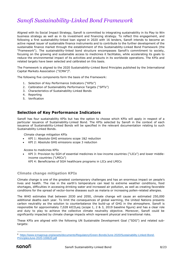# <span id="page-8-0"></span>*Sanofi Sustainability-Linked Bond Framework*

Aligned with its Social Impact Strategy, Sanofi is committed to integrating sustainability in its Play to Win business strategy as well as in its investment and financing strategy. To reflect this engagement, and following a first sustainability-linked loan signed in 2020 with 16 lenders, Sanofi intends to become an active repeat issuer of sustainable finance instruments and to contribute to the further development of the sustainable finance market through the establishment of this Sustainability-Linked Bond Framework (the "Framework"). The sustainability-linked bond structure encompasses Sanofi's commitment to society, focusing on the growing and sustainable access to medicines it facilitates, while accelerating its goals to reduce the environmental impact of its activities and products in its worldwide operations. The KPIs and related targets have been selected and calibrated on this basis.

The Framework is aligned to the 2020 Sustainability-Linked Bond Principles published by the International Capital Markets Association ("ICMA")<sup>8</sup>.

The following five components form the basis of the Framework:

- 1. Selection of Key Performance Indicators ("KPIs")
- 2. Calibration of Sustainability Performance Targets ("SPTs")
- 3. Characteristics of Sustainability-Linked Bonds
- 4. Reporting
- 5. Verification

# <span id="page-8-1"></span>**Selection of Key Performance Indicators**

Sanofi has four sustainability KPIs but has the option to choose which KPIs will apply in respect of a particular issuance of Sustainability-Linked Bond. The KPIs selected by Sanofi in the context of each issuance of Sustainability-Linked Bonds will be specified in the relevant documentation relating to such Sustainability-Linked Bonds.

Climate change mitigation KPIs

- KPI 1: Absolute GHG emissions scope 1&2 reduction
- KPI 2: Absolute GHG emissions scope 3 reduction

Access to medicines KPIs

• KPI 3: Provision by SGH of essential medicines in low-income countries ("LICs") and lower middleincome countries ("LMICs") KPI 4: Beneficiaries of SGH healthcare programs in LICs and LMICs

#### **Climate change mitigation KPIs**

Climate change is one of the greatest contemporary challenges and has an enormous impact on people's lives and health. The rise in the earth's temperature can lead to extreme weather conditions, food shortages, difficulties in accessing drinking water and increased air pollution, as well as creating favorable conditions for the spread of vector-borne diseases such as malaria or increasing pollen-related allergies.

The WHO estimates that between 2030 and 2050, climate change will cause an estimated 250,000 additional deaths each year. To limit the consequences of global warming, the United Nations presents carbon neutrality as the solution to counterbalance the build-up of GHG in the atmosphere. Sanofi is responsible for approximately 7,028 ktCO<sub>2</sub>eq (scope 1, 2 & 3, 2019 baseline figure) and has a clear role and duty to play to achieve the collective climate neutrality objective. Moreover, Sanofi could be significantly impacted by climate change impacts which represent physical and transitional risks.

These KPIs are aligned with the following UN Sustainable Development Goal ("SDG") and related subtargets:

<sup>8</sup> [https://www.icmagroup.org/assets/documents/Regulatory/Green-Bonds/June-2020/Sustainability-Linked-Bond-](https://www.icmagroup.org/assets/documents/Regulatory/Green-Bonds/June-2020/Sustainability-Linked-Bond-PrinciplesJune-2020-100620.pdf)[PrinciplesJune-2020-100620.pdf](https://www.icmagroup.org/assets/documents/Regulatory/Green-Bonds/June-2020/Sustainability-Linked-Bond-PrinciplesJune-2020-100620.pdf)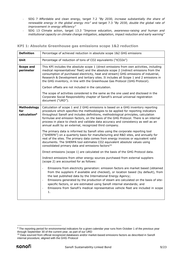- SDG 7 Affordable and clean energy, target 7.2 *"By 2030, increase substantially the share of renewable energy in the global energy mix"* and target 7.3 *"By 2030, double the global rate of improvement in energy efficiency"*
- SDG 13 Climate action, target 13.3 *"Improve education, awareness-raising and human and institutional capacity on climate change mitigation, adaptation, impact reduction and early warning"*

| <b>Definition</b>                              | Percentage of achieved reduction in absolute scope 1&2 GHG emissions                                                                                                                                                                                                                                                                                                                                                                                                                                                      |
|------------------------------------------------|---------------------------------------------------------------------------------------------------------------------------------------------------------------------------------------------------------------------------------------------------------------------------------------------------------------------------------------------------------------------------------------------------------------------------------------------------------------------------------------------------------------------------|
| Unit                                           | Percentage of reduction of tons of CO2 equivalents ("tCO2e")                                                                                                                                                                                                                                                                                                                                                                                                                                                              |
| <b>Scope and</b><br>perimeter                  | This KPI includes the absolute scope 1 (direct emissions from own activities, including<br>medical representatives' fleet) and the absolute scope 2 (indirect emissions from the<br>consumption of purchased electricity, heat and stream) GHG emissions of industrial,<br>Research & Development and tertiary sites. It includes all Scope 1 and 2 emissions in<br>the GHG inventory, in line with the Greenhouse Gas Protocol (GHG Protocol).                                                                           |
|                                                | Carbon offsets are not included in the calculation.                                                                                                                                                                                                                                                                                                                                                                                                                                                                       |
|                                                | The scope of activities considered is the same as the one used and disclosed in the<br>Corporate Social Responsibility chapter of Sanofi's annual universal registration<br>document ("URD").                                                                                                                                                                                                                                                                                                                             |
| Methodology<br>for<br>calculation <sup>9</sup> | Calculation of scope 1 and 2 GHG emissions is based on a GHG inventory reporting<br>procedure which specifies the methodologies to be applied for reporting indicators<br>throughout Sanofi and includes definitions, methodological principles, calculation<br>formulae and emission factors, on the basis of the GHG Protocol. There is an internal<br>process in place to check and validate data accuracy and consistency as well as an<br>annual audit by an external, recognized third company.                     |
|                                                | The primary data is informed by Sanofi sites using the corporate reporting tool<br>("SHERPA") on a quarterly basis for manufacturing and R&D sites, and annually for<br>rest of the sites. The primary data comes from energy invoices or equivalent valid<br>documents. The SHERPA tool estimates CO2 equivalent absolute values using<br>consolidated primary data and emissions factors <sup>10.</sup>                                                                                                                 |
|                                                | Direct emissions (scope 1) are calculated on the basis of the GHG Protocol data.                                                                                                                                                                                                                                                                                                                                                                                                                                          |
|                                                | Indirect emissions from other energy sources purchased from external suppliers<br>(scope 2) are accounted for as follows:                                                                                                                                                                                                                                                                                                                                                                                                 |
|                                                | Emissions from electricity generation: emission factors are market based (obtained<br>from the suppliers if available and checked), or location based (by default), from<br>the last published data by the International Energy Agency;<br>Emissions generated by the production of steam are calculated on the basis of site-<br>$\Box$<br>specific factors, or are estimated using Sanofi internal standards; and<br>Emissions from Sanofi's medical representative vehicle fleet are included in scope<br>$\Box$<br>1. |

#### **KPI 1: Absolute Greenhouse gas emissions scope 1&2 reduction**

<sup>&</sup>lt;sup>9</sup> The reporting period for environmental indicators for a given calendar year runs from October 1 of the previous year through September 30 of the current year, as part of our URD

<sup>&</sup>lt;sup>10</sup> Data sourced from official recognized databases and/or market-based emissions factors as described in Sanofi internal procedure, aligned with the GHG Protocol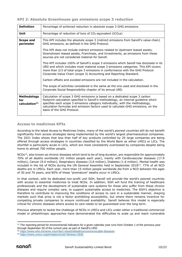| <b>Definition</b>                               | Percentage of achieved reduction in absolute scope 3 GHG emissions                                                                                                                                                                                                                                                                                                      |
|-------------------------------------------------|-------------------------------------------------------------------------------------------------------------------------------------------------------------------------------------------------------------------------------------------------------------------------------------------------------------------------------------------------------------------------|
| Unit                                            | Percentage of reduction of tons of $CO2$ equivalent (tCO <sub>2</sub> e)                                                                                                                                                                                                                                                                                                |
| Scope and<br>perimeter                          | This KPI includes the absolute scope 3 (indirect emissions from Sanofi's value chain)<br>GHG emissions, as defined in the GHG Protocol.                                                                                                                                                                                                                                 |
|                                                 | This KPI does not include indirect emissions related to Upstream leased assets,<br>Downstream leased assets, Franchises, and Investments, as emissions from these<br>sources are not considered material for Sanofi.                                                                                                                                                    |
|                                                 | This KPI includes 100% of Sanofi's scope 3 emissions which Sanofi has disclosed in its<br>URD and which includes most material scope 3 emissions categories. This KPI covers<br>more than 2/3 of total scope 3 emissions in conformance with the GHG Protocol<br>Corporate Value Chain (scope 3) Accounting and Reporting Standard.                                     |
|                                                 | Carbon offsets and avoided emissions are not included in the calculation.                                                                                                                                                                                                                                                                                               |
|                                                 | The scope of activities considered is the same as the one used and disclosed in the<br>Corporate Social Responsibility chapter of its annual URD.                                                                                                                                                                                                                       |
| Methodology<br>for<br>calculation <sup>11</sup> | Calculation of scope 3 GHG emissions is based on a dedicated scope 3 carbon<br>footprint calculation specified in Sanofi's methodology, an internal guideline which<br>specifies each scope 3 emissions category individually, with the methodology,<br>calculation formulae and emission factors used to calculate GHG emissions, on the<br>basis of the GHG Protocol. |

#### **KPI 2: Absolute Greenhouse gas emissions scope 3 reduction**

### **Access to medicines KPIs**

According to the latest Access to Medicines Index, many of the world's poorest countries still do not benefit significantly from access strategies being implemented by the world's largest pharmaceutical companies. The 2021 Index shows that less than half of key products controlled by 20 large companies are being offered through access strategies in countries classified by the World Bank as either LMICs or LICs. The shortfall is particularly acute in LICs, which are most consistently overlooked by companies despite being home to almost 700 million people.

 $NCDs<sup>12</sup>$ , also known as chronic diseases which tend to be of long duration, are responsible for approximately 70% of all deaths worldwide (41 million people each year), mainly with Cardiovascular diseases (17.9 million), Cancer (9.0 million), Respiratory diseases (3.8 million), Diabetes (1.6 million). Mental health was included in the list of NCDs during the UN General Assembly held in September 2018<sup>13</sup>, 77% of all NCD deaths are in LMICs. Each year, more than 15 million people worldwide die from a NCD between the ages of 30 and 70 years, and 85% of these "premature" deaths occur in LMICs.

In that context, with its dedicated non-profit unit SGH, Sanofi will provide the world's poorest countries with access to essential medicines to treat NCDs. In addition, SGH will fund the training of healthcare professionals and the development of sustainable care systems for those who suffer from these chronic diseases and require complex care, to support sustainable access to medicines. The SGH's objective is therefore to contribute to improving the conditions of access to care in a sustainable manner, shaping markets such that price is not a factor prohibiting accessibility, but where there remains incentive for competing private companies to ensure continued availability. Sanofi believes this model is especially critical for chronic diseases where access to care needs to be guaranteed over the long term.

Previous attempts to tackle the challenge of NCDs in LMICs and LICs under either a traditional commercial model or philanthropic approaches have demonstrated the difficulties to scale up and reach vulnerable

<sup>&</sup>lt;sup>11</sup> The reporting period for environmental indicators for a given calendar year runs from October 1 of the previous year through September 30 of the current year as part of Sanofi's URD

<sup>12</sup> <https://www.who.int/news-room/fact-sheets/detail/noncommunicable-diseases>

<sup>13</sup> <https://www.unscn.org/en/topics/ncds?idnews=1835>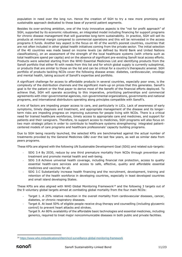population in need over the long run. Hence the creation of SGH to try a new more promising and sustainable approach dedicated to these base of pyramid patient segments.

Besides its over-arching ambition, one of the truly innovative aspects is the "not for profit approach" of SGH, supported by its economic robustness, an integrated model including financing for support programs for chronic disease management that will guarantee long-term sustainability. In practice, SGH will sell its products at minimal margin compared to commercial operations and this will be reinvested in the access programs it funds. Another key aspect is the focus on 40 of the world's poorest countries, countries that are not often included in other global health initiatives coming from the private sector. The initial selection of the 40 countries was made based on income levels (as defined by World Bank and United Nations classifications), on an assessment of the strength of the local healthcare systems (with criteria such as total healthcare spend per capita) and on the absence of significant pre-existing Sanofi local access efforts. Products were selected starting from the WHO Essential Medicines List and identifying products from the Sanofi portfolio that either fit with needs from this list and for which global supply is currently suboptimal, or products that are similar to those on the list and can be critical for a country's therapeutic arsenal. SGH portfolio of products tackling NCDs cover the following disease areas: diabetes, cardiovascular, oncology and mental health, taking account of Sanofi's expertise and portfolio.

A significant challenge for access to affordable products in several countries, especially poor ones, is the complexity of the distribution channels and the significant mark-up on prices that this generates. Sanofi's goal is for the patient or the final payer to derive most of the benefit of the financial efforts deployed. To achieve that, SGH will operate according to this imperative, prioritizing partnerships and commercial agreements with inter-governmental agencies, non-governmental organizations, governments and national programs, and international distributors operating along principles compatible with Sanofi's.

A mix of factors are impeding proper access to care, and particularly in LICs. Lack of awareness of early symptoms, timely diagnosis and treatment, and appropriate management of the disease and its longerterm risks are impeding progress on improving outcomes for people living with NCDs. There is a critical need for trained healthcare workforces, timely access to appropriate care and medicines, and support for patients and their caregivers. Therefore, to support access to medicines, SGH programs will also focus on two main strategic pillars in order to contribute to healthcare systems strengthening: integrated patientcentered models of care programs and healthcare professionals' capacity building programs.

Due to SGH being recently launched, the selected KPIs are benchmarked against the actual number of treatments provided by the General Medicines GBU over the last few years, as well as similar data from peers programs.

These KPIs are aligned with the following UN Sustainable Development Goal (SDG) and related sub-targets:

- SDG 3.4 By 2030, reduce by one third premature mortality from NCDs through prevention and treatment and promote mental health and well-being.
- SDG 3.8 Achieve universal health coverage, including financial risk protection, access to quality essential health-care services and access to safe, effective, quality and affordable essential medicines and vaccines for all.
- SDG 3.C Substantially increase health financing and the recruitment, development, training and retention of the health workforce in developing countries, especially in least developed countries and small island developing States.

These KPIs are also aligned with WHO Global Monitoring Framework<sup>14</sup> and the following 3 targets out of the 9 voluntary global targets aimed at combating global mortality from the four main NCDs:

- Target 1. A 25% relative reduction in the overall mortality from cardiovascular diseases, cancer, diabetes, or chronic respiratory diseases.
- Target 8. At least 50% of eligible people receive drug therapy and counselling (including glycaemic control) to prevent heart attacks and strokes.
- Target 9. An 80% availability of the affordable basic technologies and essential medicines, including generics, required to treat major noncommunicable diseases in both public and private facilities.

<sup>14</sup> <https://www.who.int/publications/i/item/ncd-surveillance-global-monitoring-framework>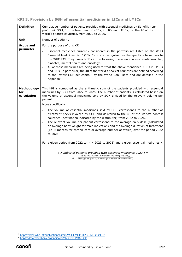| <b>Definition</b>                 | Cumulative number of patients provided with essential medicines by Sanofi's non-<br>profit unit SGH, for the treatment of NCDs, in LICs and LMICs, i.e. the 40 of the<br>world's poorest countries, from 2022 to 2026.                                                                                                                                                                                                                                                                                                                                                                                                                                                                                                                                                                                                                                                                                                                 |  |  |
|-----------------------------------|----------------------------------------------------------------------------------------------------------------------------------------------------------------------------------------------------------------------------------------------------------------------------------------------------------------------------------------------------------------------------------------------------------------------------------------------------------------------------------------------------------------------------------------------------------------------------------------------------------------------------------------------------------------------------------------------------------------------------------------------------------------------------------------------------------------------------------------------------------------------------------------------------------------------------------------|--|--|
| Unit                              | Number of patients                                                                                                                                                                                                                                                                                                                                                                                                                                                                                                                                                                                                                                                                                                                                                                                                                                                                                                                     |  |  |
| <b>Scope and</b><br>perimeter     | For the purpose of this KPI:<br>Essential medicines currently considered in the portfolio are listed on the WHO<br>÷,<br>Essential Medicines List <sup>15</sup> ("EML") or are recognized as therapeutic alternatives to<br>the WHO EML They cover NCDs in the following therapeutic areas: cardiovascular,<br>diabetes, mental health and oncology.<br>All of these medicines are being used to treat the above mentioned NCDs in LMICs<br>$\overline{\phantom{a}}$<br>and LICs. In particular, the 40 of the world's poorest countries are defined according<br>to the lowest GDP per capita <sup>16</sup> by the World Bank Data and are detailed in the<br>Appendix.                                                                                                                                                                                                                                                               |  |  |
| Methodology<br>for<br>calculation | This KPI is computed as the arithmetic sum of the patients provided with essential<br>medicines by SGH from 2022 to 2026. The number of patients is calculated based on<br>the volume of essential medicines sold by SGH divided by the relevant volume per<br>patient.<br>More specifically:<br>The volume of essential medicines sold by SGH corresponds to the number of<br>treatment packs invoiced by SGH and delivered to the 40 of the world's poorest<br>countries (destination indicated by the distributor) from 2022 to 2026.<br>The relevant volume per patient correspond to the average daily dose (calculated<br>$\blacksquare$<br>on average body weight for main indication) and the average duration of treatment<br>(i.e. 6 months for chronic care or average number of cycles) over the period 2022<br>to 2026.<br>For a given period from 2022 to $i$ (i= 2023 to 2026) and a given essential medicines <b>k</b> |  |  |
|                                   | # Number of patients provided with essential medicines 2022-i =<br>Number of Packs $_{k,i}$ $\times$ Number of doses per Pack $_{k,i}$<br>Σ<br>Average daily $dose_k \times Average$ duration of treatment <sub>k,i</sub>                                                                                                                                                                                                                                                                                                                                                                                                                                                                                                                                                                                                                                                                                                              |  |  |

<sup>15</sup> <https://www.who.int/publications/i/item/WHO-MHP-HPS-EML-2021.02>

<sup>16</sup> <https://data.worldbank.org/indicator/NY.GDP.PCAP.CD>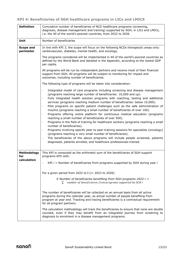| <b>Definition</b>             | Cumulative number of beneficiaries of NCD healthcare programs (screening,<br>diagnosis, disease management and training) supported by SGH, in LICs and LMICs,<br>i.e. the 40 of the world's poorest countries, from 2022 to 2026.                                                                                                                                                                                                                                                                                                                                                                                                                                                                                                                                                                                                                                                                                                                                                                                                                                                    |
|-------------------------------|--------------------------------------------------------------------------------------------------------------------------------------------------------------------------------------------------------------------------------------------------------------------------------------------------------------------------------------------------------------------------------------------------------------------------------------------------------------------------------------------------------------------------------------------------------------------------------------------------------------------------------------------------------------------------------------------------------------------------------------------------------------------------------------------------------------------------------------------------------------------------------------------------------------------------------------------------------------------------------------------------------------------------------------------------------------------------------------|
| Unit                          | Number of beneficiaries                                                                                                                                                                                                                                                                                                                                                                                                                                                                                                                                                                                                                                                                                                                                                                                                                                                                                                                                                                                                                                                              |
| <b>Scope and</b><br>perimeter | In line with KPI 3, the scope will focus on the following NCDs therapeutic areas only:<br>cardiovascular, diabetes, mental health, and oncology.                                                                                                                                                                                                                                                                                                                                                                                                                                                                                                                                                                                                                                                                                                                                                                                                                                                                                                                                     |
|                               | The programs considered will be implemented in 40 of the world's poorest countries as<br>defined by the World Bank and detailed in the Appendix, according to the lowest GDP<br>per capita.                                                                                                                                                                                                                                                                                                                                                                                                                                                                                                                                                                                                                                                                                                                                                                                                                                                                                          |
|                               | All programs will be run by independent partners and receive most of their financial<br>support from SGH. All programs will be subject to monitoring for impact and<br>outcomes, including number of beneficiaries.                                                                                                                                                                                                                                                                                                                                                                                                                                                                                                                                                                                                                                                                                                                                                                                                                                                                  |
|                               | The following type of programs will be taken into consideration:                                                                                                                                                                                                                                                                                                                                                                                                                                                                                                                                                                                                                                                                                                                                                                                                                                                                                                                                                                                                                     |
|                               | Integrated model of care programs including screening and disease management<br>(programs reaching large number of beneficiaries: 10,000 and up).<br>Fully integrated health solution programs with coaching, testing and additional<br>$\sim$<br>services (programs reaching medium number of beneficiaries: below 10,000).<br>Pilot programs on specific patient challenges such as the safe administration of<br>insulins (programs reaching a small number of beneficiaries of over 100).<br>Programs offering online platform for continuous medical education (programs<br>reaching a small number of beneficiaries of over 500).<br>Programs in the field of training for healthcare workers (programs reaching a small<br>$\sim$<br>number of beneficiaries).<br>Programs involving specific peer to peer training sessions for specialists (oncology)<br>(programs reaching a very small number of beneficiaries).<br>The beneficiaries of the above programs will include people screened, patients<br>diagnosed, patients enrolled, and healthcare professionals trained. |
| Methodology<br>for            | This KPI is computed as the arithmetic sum of the beneficiaries of SGH support<br>programs KPIi with:                                                                                                                                                                                                                                                                                                                                                                                                                                                                                                                                                                                                                                                                                                                                                                                                                                                                                                                                                                                |
| calculation                   | $KPI$ i = Number of beneficiaries from programs supported by SGH during year i                                                                                                                                                                                                                                                                                                                                                                                                                                                                                                                                                                                                                                                                                                                                                                                                                                                                                                                                                                                                       |
|                               | For a given period from 2022 to $\mathbf{i}$ (i= 2023 to 2026)                                                                                                                                                                                                                                                                                                                                                                                                                                                                                                                                                                                                                                                                                                                                                                                                                                                                                                                                                                                                                       |
|                               | # Number of beneficiaries benefiting from SGH programs 2022-i =<br>number of beneficiaries from programs supported by SGH i<br>$\Sigma$                                                                                                                                                                                                                                                                                                                                                                                                                                                                                                                                                                                                                                                                                                                                                                                                                                                                                                                                              |
|                               | The number of beneficiaries will be collected on an annual basis from all active<br>programs during the calendar year, as actual number of people benefiting from<br>program at year end. Tracking and tracing beneficiaries is a contractual requirement<br>for all program partners.                                                                                                                                                                                                                                                                                                                                                                                                                                                                                                                                                                                                                                                                                                                                                                                               |
|                               | The calculation methodology will track the beneficiaries to ensure that none are double<br>counted, even if they may benefit from an integrated journey from screening to<br>diagnosis to enrolment in a disease management programs.                                                                                                                                                                                                                                                                                                                                                                                                                                                                                                                                                                                                                                                                                                                                                                                                                                                |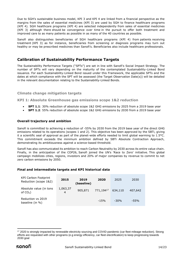Due to SGH's sustainable business model, KPI 3 and KPI 4 are linked from a financial perspective as the margins from the sales of essential medicines (KPI 3) are used by SGH to finance healthcare programs (KPI 4). SGH healthcare programs (KPI 4) are selected independently from sales of essential medicines (KPI 3) although there should be convergence over time in the pursuit to offer both treatment and improved care to as many patients as possible in as many of the 40 countries as possible.

Sanofi also distinguishes beneficiaries of SGH healthcare programs (KPI 4) from patients receiving treatment (KPI 3) as for instance, beneficiaries from screening or diagnosis programs may turn out healthy or may be prescribed medicines than Sanofi's. Beneficiaries also include healthcare professionals.

## <span id="page-14-0"></span>**Calibration of Sustainability Performance Targets**

The Sustainability Performance Targets ("SPTs") are set in line with Sanofi's Social Impact Strategy. The number of SPTs will vary depending on the maturity of the contemplated Sustainability-Linked Bond issuance. For each Sustainability-Linked Bond issued under this Framework, the applicable SPTs and the dates at which compliance with the SPT will be assessed (the Target Observation Date(s)) will be detailed in the relevant documentation relating to the Sustainability-Linked Bonds.

#### **Climate change mitigation targets**

**KPI 1: Absolute Greenhouse gas emissions scope 1&2 reduction**

- **SPT 1.1**: 30% reduction of absolute scope 1&2 GHG emissions by 2025 from a 2019 base year
- **SPT 1.2**: 55% reduction of absolute scope 1&2 GHG emissions by 2030 from a 2019 base year

#### **Overall trajectory and ambition**

Sanofi is committed to achieving a reduction of -55% by 2030 from the 2019 base year of the direct GHG emissions related to its operations (scopes 1 and 2). This objective has been approved by the SBTi, giving it a scientific seal of approval as part of the planet-wide efforts needed to limit global warming to 1.5°C. This commitment exceeds the minimum ambition defined by SBTi Absolute Contraction Approach, demonstrating its ambitiousness against a science-based threshold.

Sanofi has also communicated its ambition to reach Carbon Neutrality by 2030 across its entire value chain. Finally, in the anticipation of the COP26, Sanofi joined the UN's 'Race to Zero' initiative. This global campaign mobilizes cities, regions, investors and 20% of major companies by revenue to commit to net zero carbon emissions by 2050.

#### **Final and intermediate targets and KPI historical data**

| <b>KPI Carbon Footprint</b><br>Reduction (scope 1&2) | 2015                       | 2019<br>(baseline) | 2020      | 2025    | 2030    |
|------------------------------------------------------|----------------------------|--------------------|-----------|---------|---------|
| Absolute value (in tons<br>of $CO2$ )                | 1,063,37<br>$\overline{4}$ | 905,871            | 771,19417 | 634,110 | 407,642 |
| Reduction vs 2019<br>baseline (in %)                 |                            |                    | $-15%$    | $-30%$  | $-55%$  |

<sup>&</sup>lt;sup>17</sup> 2020 is strongly impacted by renewable electricity sourcing and COVID pandemic (car fleet mileage reduction). Strong efforts are requested with other programs (e.g energy efficiency, car fleet electrification) to keep progressing towards 2030 goal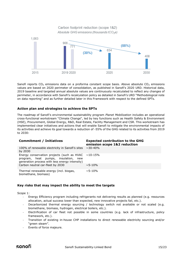

Sanofi reports  $CO<sub>2</sub>$  emissions data on a proforma constant scope basis. Above absolute  $CO<sub>2</sub>$  emissions values are based on 2020 perimeter of consolidation, as published in Sanofi's 2020 URD. Historical data, 2019 baseline and targeted annual absolute values are continuously recalculated to reflect any changes of perimeter, in accordance with Sanofi's recalculation policy as detailed in Sanofi's URD "Methodological note on data reporting" and as further detailed later in this Framework with respect to the defined SPTs.

#### **Action plan and strategies to achieve the SPTs**

The roadmap of Sanofi's environmental sustainability program *Planet Mobilization* includes an operational cross-functional workstream "Climate Change", led by key functions such as Health Safety & Environment (HSE), Procurement, Global Energy, R&D, Real Estate, Facility Management and CSR. This workstream has implemented clear initiatives and actions that will enable Sanofi to mitigate the environmental impacts of its activities and achieve its goal towards a reduction of -55% of the GHG related to its activities from 2019 to 2030:

| <b>Commitment / Initiatives</b>                                                                                                                     | <b>Expected contribution to the GHG</b><br>emission scope 1&2 reduction |
|-----------------------------------------------------------------------------------------------------------------------------------------------------|-------------------------------------------------------------------------|
| 100% of renewable electricity in Sanofi's sites<br>by 2030                                                                                          | $\sim$ 30-40%                                                           |
| Energy conservation projects (such as HVAC $~\sim$ 10-15%<br>program, heat pumps, insulation, new<br>generation process with less energy intensity) |                                                                         |
| Carbon neutral car-fleet by 2030                                                                                                                    | $\sim$ 5-10%                                                            |
| Thermal renewable energy (incl. biogas,<br>biomethane, biomass)                                                                                     | $\sim$ 5-10%                                                            |

#### **Key risks that may impact the ability to meet the targets**

Scope 1:

- Energy Efficiency program including refrigerants not delivering results as planned (e.g. resources allocation, actual success lower than expected, new innovative projects fail, etc.).
- Decarbonized thermal energy sourcing / technology switch not available or not scaled (e.g. biomethane, biomass, hydrogen, electrical boilers, etc.).
- Electrification of car fleet not possible in some countries (e.g. lack of infrastructure, policy framework, etc.).
- Transition of existing in-house CHP installations to direct renewable electricity sourcing and/or "green steam".
- Events of force majeure.

# sanofi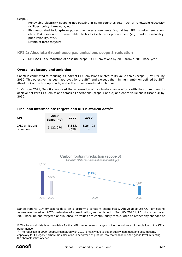Scope 2:

- Renewable electricity sourcing not possible in some countries (e.g. lack of renewable electricity facilities, policy framework, etc.).
- Risk associated to long-term power purchases agreements (e.g. virtual PPA, on-site generation, etc.). Risk associated to Renewable Electricity Certificates procurement (e.g. market availability, price volatility, etc.).
- Events of force majeure.

**KPI 2: Absolute Greenhouse gas emissions scope 3 reduction**

• **SPT 2.1:** 14% reduction of absolute scope 3 GHG emissions by 2030 from a 2019 base year

#### **Overall trajectory and ambition**

Sanofi is committed to reducing its indirect GHG emissions related to its value chain (scope 3) by 14% by 2030. This objective has been approved by the SBTi and exceeds the minimum ambition defined by SBTi Absolute Contraction Approach, and is therefore considered ambitious.

In October 2021*,* Sanofi announced the acceleration of its climate change efforts with the commitment to achieve net zero GHG emissions across all operations (scope 1 and 2) and entire value chain (scope 3) by 2050.

#### **Final and intermediate targets and KPI historical data<sup>18</sup>**

| <b>KPI</b>                        | 2019<br>(baseline) | 2020                 | 2030     |
|-----------------------------------|--------------------|----------------------|----------|
| <b>GHG</b> emissions<br>reduction | 6,122,074          | 5,555,<br>$402^{19}$ | 5,264,98 |



Sanofi reports  $CO<sub>2</sub>$  emissions data on a proforma constant scope basis. Above absolute  $CO<sub>2</sub>$  emissions values are based on 2020 perimeter of consolidation, as published in Sanofi's 2020 URD. Historical data, 2019 baseline and targeted annual absolute values are continuously recalculated to reflect any changes of

<sup>&</sup>lt;sup>18</sup> The historical data is not available for this KPI due to recent changes in the methodology of calculation of the KPI's performance

<sup>&</sup>lt;sup>19</sup> The reduction in 2020 (Scope3) compared with 2019 is mainly due to better-quality input data and assumptions, especially for Category 1 where the calculation is performed at product, raw material or finished goods level, reflecting the characteristics of each.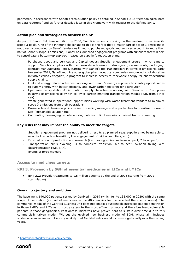perimeter, in accordance with Sanofi's recalculation policy as detailed in Sanofi's URD "Methodological note on data reporting" and as further detailed later in this Framework with respect to the defined SPTs.

#### **Action plan and strategies to achieve the SPT**

As part of Sanofi Net Zero ambition by 2050, Sanofi is ardently working on the roadmap to achieve its scope 3 goals. One of the inherent challenges to this is the fact that a major part of scope 3 emissions is not directly controlled by Sanofi (emissions linked to purchased goods and services account for more than half of Sanofi's scope 3 emissions). Sanofi has launched engagement programs with suppliers that will help to consolidate a bottom-up approach, based on supplier's reduction plans.

- Purchased goods and services and Capital goods: Supplier engagement program which aims to support Sanofi's suppliers with their own decarbonization strategies (raw materials, packaging, contract manufacturing, etc.), starting with Sanofi's top 100 suppliers in terms of emissions. Early November 2021, Sanofi and nine other global pharmaceutical companies announced a collaborative initiative called *Energize<sup>20</sup> ,* a program to increase access to renewable energy for pharmaceutical supply chains.
- Fuel and energy related activities: working with Sanofi's energy suppliers to identify opportunities to supply energy with better efficiency and lower carbon footprint for distribution.
- Upstream transportation & distribution: supply chain teams working with Sanofi's top 3 suppliers in terms of emissions to switch to lower-carbon emitting transportation modes (e.g. from air to sea)
- Waste generated in operations: opportunities working with waste treatment vendors to minimize scope 3 emissions from their operations.
- Business travel: business policy to limit travelling mileage and opportunities to prioritize the use of SAF (sustainable aviation fuel)
- Commuting: leveraging remote working policies to limit emissions derived from commuting

#### **Key risks that may impact the ability to meet the targets**

- Supplier engagement program not delivering results as planned (e.g. suppliers not being able to execute low carbon transition, low engagement of critical suppliers, etc.).
- Externalization of production and research (i.e. moving emissions from scope 1, 2 to scope 3).
- Transportation crisis avoiding us to complete transition "air to see". Aviation failing with decarbonization (e.g. SAF).
- Events of force majeure.

#### **Access to medicines targets**

**KPI 3: Provision by SGH of essential medicines in LICs and LMICs**

• **SPT 3.1**: Provide treatments to 1.5 million patients by the end of 2026 starting from 2022 (cumulative)

#### **Overall trajectory and ambition**

The baseline is 140,000 patients served by GenMed in 2019 (which fell to 135,000 in 2020) with the same scope of calculation (i.e. set of medicines in the 40 countries for the selected therapeutic areas). The commercial model of the GenMed Business Unit does not enable a sustainable increased patient penetration in those LMICs and LICs as it mostly caters to the most affluent private and therefore least vulnerable patients in those geographies. Past access initiatives have proven hard to sustain over time due to this commercially driven model. Without the evolved new business model of SGH, whose aim includes sustainable social impact, it is very unlikely that GenMed sales would increase significantly over the coming years.

<sup>20</sup> <https://neonetworkexchange.com/energize>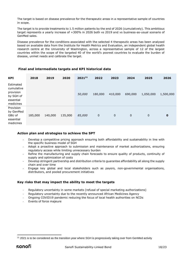The target is based on disease prevalence for the therapeutic areas in a representative sample of countries in scope.

The target is to provide treatments to 1.5 million patients by the end of 2026 (cumulatively). This ambitious target represents a yearly increase of +300% in 2026 both vs 2019 and vs business-as-usual scenario of GenMed sales.

Disease prevalence for the conditions associated with the selected 4 therapeutic areas has been analysed based on available data from the Institute for Health Metrics and Evaluation, an independent global health research centre at the University of Washington, across a representative sample of 12 of the largest countries within the scope of the targeted 40 of the world's poorest countries to evaluate the burden of disease, unmet needs and calibrate the target.

#### **Final and intermediate targets and KPI historical data**

| <b>KPI</b>                                                                  | 2018    | 2019    | 2020    | 202121 | 2022    | 2023        | 2024         | 2025        | 2026      |
|-----------------------------------------------------------------------------|---------|---------|---------|--------|---------|-------------|--------------|-------------|-----------|
| Estimated<br>cumulative<br>provision<br>by SGH of<br>essential<br>medicines |         |         |         | 50,000 | 180,000 | 410,000     | 690,000      | 1,050,000   | 1,500,000 |
| Provision<br>by GenMed<br>GBU of<br>essential<br>medicines                  | 185,000 | 140,000 | 135,000 | 85,000 | 0       | $\mathbf 0$ | $\mathbf{0}$ | $\mathbf 0$ | 0         |

#### **Action plan and strategies to achieve the SPT**

- Develop a competitive pricing approach ensuring both affordability and sustainability in line with the specific business model of SGH
- Adopt a proactive approach to submission and maintenance of market authorizations, ensuring regulatory access while limiting unnecessary burden
- Refine the manufacturing and supply chain forecasts to ensure quality of products, continuity of supply and optimization of costs
- Develop stringent partnership and distribution criteria to guarantee affordability all along the supply chain and over time
- Engage key global and local stakeholders such as payors, non-governmental organisations, distributors, and pooled procurement initiatives

### **Key risks that may impact the ability to meet the targets**

- Regulatory uncertainty in some markets (refusal of special marketing authorizations)
- Regulatory uncertainty due to the recently announced African Medicines Agency
- Ongoing COVID19 pandemic reducing the focus of local health authorities on NCDs
- Events of force majeure

<sup>&</sup>lt;sup>21</sup> 2021 is to be considered as the transition year where SGH is progressively taking over from GenMed activity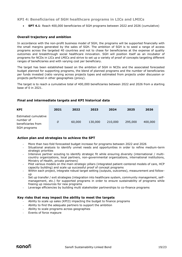#### **KPI 4: Beneficiaries of SGH healthcare programs in LICs and LMICs**

• **SPT 4.1**: Reach 400,000 beneficiaries of SGH programs between 2022 and 2026 (cumulative)

#### **Overall trajectory and ambition**

In accordance with the non-profit business model of SGH, the programs will be supported financially with the small margins generated by the sales of SGH. The ambition of SGH is to seed a range of access programs across the targeted 40 countries and not to chase for beneficiaries at the expense of quality outcomes and breakthrough social healthcare innovation. SGH will position itself as an incubator of programs for NCDs in LICs and LMICs and strive to set up a variety of proof of concepts targeting different ranges of beneficiaries and with varying cost per beneficiary.

The target has been established based on the ambition of SGH in NCDs and the associated forecasted budget planned for supporting programs, the blend of planned programs and the number of beneficiaries per funds invested (ratio varying across projects types and estimated from projects under discussion or projects performed in other geographies (proxy).

The target is to reach a cumulative total of 400,000 beneficiaries between 2022 and 2026 from a starting base of 0 in 2021.

#### **Final and intermediate targets and KPI historical data**

| <b>KPI</b>                                                              | 2021 | 2022   | 2023    | 2024    | 2025    | 2026    |
|-------------------------------------------------------------------------|------|--------|---------|---------|---------|---------|
| Estimated cumulative<br>number of<br>beneficiaries from<br>SGH programs | 0    | 60,000 | 130,000 | 210,000 | 295,000 | 400,000 |

#### **Action plan and strategies to achieve the SPT**

- More than two-fold forecasted budget increase for programs between 2022 and 2026
- Situational analysis to identify unmet needs and opportunities in order to refine medium-term strategic priorities
- Intensive partner scouting to identify strategic fit while ensuring diversity (international / multicountry organizations, local partners, non-governmental organizations, international institutions, Ministry of Health, private partners)
- Pilot various models on the main strategic pillars (integrated patient-centered models of care, HCP capacity building) and scale up successful proof of concept programs
- Within each project, integrate robust target setting (outputs, outcomes), measurement and followup
- Set up transfer / exit strategies (integration into healthcare system, community management, selfmanagement, etc.) for supported programs in order to ensure sustainability of programs while freeing up resources for new programs
- Leverage efficiencies by building multi stakeholder partnerships to co-finance programs

#### **Key risks that may impact the ability to meet the targets**

- Ability to scale up sales (KPI3) impacting the budget to finance programs
- Ability to find the adequate partners to support the ambition
- Ability to scale programs across geographies
- Events of force majeure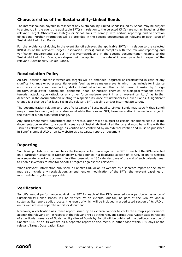# <span id="page-20-0"></span>**Characteristics of the Sustainability-Linked Bonds**

The interest coupon payable in respect of any Sustainability-Linked Bonds issued by Sanofi may be subject to a step-up in the event the applicable SPT(s) in relation to the selected KPI(s) are not achieved as of the relevant Target Observation Date(s) or Sanofi fails to comply with certain reporting and verification obligations. Further information will be provided in the specific documentation relevant to each issue of Sustainability-Linked Bonds.

For the avoidance of doubt, in the event Sanofi achieves the applicable SPT(s) in relation to the selected KPI(s) as of the relevant Target Observation Date(s) and it complies with the relevant reporting and verification requirements set out in this Framework and in the specific documentation relating to the Sustainability-Linked Bonds, no step-up will be applied to the rate of interest payable in respect of the relevant Sustainability-Linked Bonds.

## <span id="page-20-1"></span>**Recalculation Policy**

An SPT, baseline and/or intermediate targets will be amended, adjusted or recalculated in case of any significant change or other potential events (such as force majeure events which may include for instance occurrence of any war, revolution, strike, industrial action or other social unrest, invasion by foreign military, coup d'état, earthquake, pandemic, flood, or nuclear, chemical or biological weapons attack, terrorist attack, cyber-attack or any other force majeure event in any relevant territory) as further described in the documentation relating to a specific issuance of Sustainability-Linked Bonds. A significant change is a change of at least 5% in the relevant SPT, baseline and/or intermediate target.

The documentation relating to a specific issuance of Sustainability-Linked Bonds may specify that Sanofi may choose to amend, adjust and/or recalculate the relevant SPT, baseline and/or intermediate target in the event of a non-significant change.

Any such amendment, adjustment and/or recalculation will be subject to certain conditions set out in the documentation relating to a specific issuance of Sustainability-Linked Bonds and must be in line with the Issuer's calculation methodology, as verified and confirmed by an external verifier and must be published in Sanofi's annual URD or on its website as a separate report or document.

# <span id="page-20-2"></span>**Reporting**

Sanofi will publish on an annual basis the Group's performance against the SPT for each of the KPIs selected on a particular issuance of Sustainability-Linked Bonds in a dedicated section of its URD or on its website as a separate report or document, in either case within 180 calendar days of the end of each calendar year to enable investors to monitor Sanofi's progress against the relevant SPT.

When relevant, information published in Sanofi's URD or on its website as a separate report or document may also include any recalculation, amendment or modification of the SPTs, the relevant baselines or intermediate targets, as applicable.

# <span id="page-20-3"></span>**Verification**

Sanofi's annual performance against the SPT for each of the KPIs selected on a particular issuance of Sustainability-Linked Bonds will be verified by an external auditor, as part of the Group's annual sustainability report audit process, the result of which will be included in a dedicated section of its URD or on its website as a separate report or document.

Moreover, a verification assurance report issued by an external verifier to verify the Group's performance against the relevant SPT in respect of the relevant KPI as at the relevant Target Observation Date in respect of a particular issuance of Sustainability-Linked Bonds by Sanofi will be published in a dedicated section of Sanofi's URD or on its website as a separate report or document, in either case within 180 days of the relevant Target Observation Date.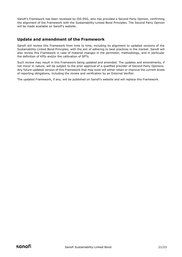Sanofi's Framework has been reviewed by ISS ESG, who has provided a Second Party Opinion, confirming the alignment of the Framework with the Sustainability-Linked Bond Principles. The Second Party Opinion will be made available on Sanofi's website.

## <span id="page-21-0"></span>**Update and amendment of the Framework**

Sanofi will review this Framework from time to time, including its alignment to updated versions of the Sustainability-Linked Bond Principles, with the aim of adhering to best practices in the market. Sanofi will also review this Framework in case of material changes in the perimeter, methodology, and in particular the definition of KPIs and/or the calibration of SPTs.

Such review may result in this Framework being updated and amended. The updates and amendments, if not minor in nature, will be subject to the prior approval of a qualified provider of Second Party Opinions. Any future updated version of this Framework that may exist will either retain or improve the current levels of reporting obligations, including the review and verification by an External Verifier.

The updated Framework, if any, will be published on Sanofi's website and will replace this Framework.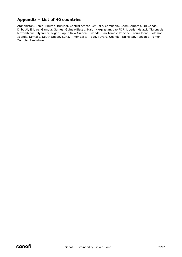# <span id="page-22-0"></span>**Appendix – List of 40 countries**

Afghanistan, Benin, Bhutan, Burundi, Central African Republic, Cambodia, Chad,Comoros, DR Congo, Djibouti, Eritrea, Gambia, Guinea, Guinea-Bissau, Haiti, Kyrgyzstan, Lao PDR, Liberia, Malawi, Micronesia, Mozambique, Myanmar, Niger, Papua New Guinea, Rwanda, Sao Tome e Principe, Sierra leone, Solomon Islands, Somalia, South Sudan, Syria, Timor Leste, Togo, Tuvalu, Uganda, Tajikistan, Tanzania, Yemen, Zambia, Zimbabwe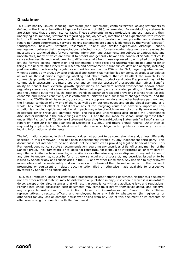# <span id="page-23-0"></span>**Disclaimer**

This Sustainability-Linked Financing Framework (the "Framework") contains forward-looking statements as defined in the Private Securities Litigation Reform Act of 1995, as amended. Forward-looking statements are statements that are not historical facts. These statements include projections and estimates and their underlying assumptions, statements regarding plans, objectives, intentions and expectations with respect to future financial results, events, operations, services, product development and potential, and statements regarding future performance. Forward-looking statements are generally identified by the words "expects", "anticipates", "believes", "intends", "estimates", "plans" and similar expressions. Although Sanofi's management believes that the expectations reflected in such forward-looking statements are reasonable, investors are cautioned that forward-looking information and statements are subject to various risks and uncertainties, many of which are difficult to predict and generally beyond the control of Sanofi, that could cause actual results and developments to differ materially from those expressed in, or implied or projected by, the forward-looking information and statements. These risks and uncertainties include among other things, the uncertainties inherent in research and development, future clinical data and analysis, including post marketing, decisions by regulatory authorities, such as the FDA or the EMA, regarding whether and when to approve any drug, device or biological application that may be filed for any such product candidates as well as their decisions regarding labelling and other matters that could affect the availability or commercial potential of such product candidates, the fact that product candidates if approved may not be commercially successful, the future approval and commercial success of therapeutic alternatives, Sanofi's ability to benefit from external growth opportunities, to complete related transactions and/or obtain regulatory clearances, risks associated with intellectual property and any related pending or future litigation and the ultimate outcome of such litigation, trends in exchange rates and prevailing interest rates, volatile economic and market conditions, cost containment initiatives and subsequent changes thereto, and the impact that COVID-19 will have on us, our customers, suppliers, vendors, and other business partners, and the financial condition of any one of them, as well as on our employees and on the global economy as a whole. Any material effect of COVID-19 on any of the foregoing could also adversely impact us. This situation is changing rapidly and additional impacts may arise of which we are not currently aware and may exacerbate other previously identified risks. The risks and uncertainties also include the uncertainties discussed or identified in the public filings with the SEC and the AMF made by Sanofi, including those listed under "Risk Factors" and "Cautionary Statement Regarding Forward-Looking Statements" in Sanofi's annual report on Form 20-F for the year ended December 31, 2020 and future annual reports. Other than as required by applicable law, Sanofi does not undertake any obligation to update or revise any forwardlooking information or statements.

The information contained in this Framework does not purport to be comprehensive and, unless differently specified in this Framework, has not been independently verified by any independent third party. This document is not intended to be and should not be construed as providing legal or financial advice. This Framework does not constitute a recommendation regarding any securities of Sanofi or any member of the Sanofi's group. This Framework is not, does not constitute, nor it should be interpreted as, or form part of, any offer or invitation to underwrite, subscribe for or otherwise acquire or dispose of, any solicitation of any offer to underwrite, subscribe for or otherwise acquire or dispose of, any securities issued or to be issued by Sanofi or any of its subsidiaries in the U.S. or any other jurisdiction. Any decision to buy or invest in securities shall be made solely and exclusively on the basis of the information set out in the pertinent prospectus or equivalent or related documentation filed or otherwise made available to prospective investors by Sanofi or its subsidiaries.

Thus, this Framework does not constitute a prospectus or other offering document. Neither this document nor any other related material may be distributed or published in any jurisdiction in which it is unlawful to do so, except under circumstances that will result in compliance with any applicable laws and regulations. Persons into whose possession such documents may come must inform themselves about, and observe, any applicable restrictions on distribution. Under no circumstances will Sanofi or its affiliates, representatives, directors, officers and employees have any liability whatsoever (in negligence or otherwise) for any loss or damage howsoever arising from any use of this document or its contents or otherwise arising in connection with the Framework.